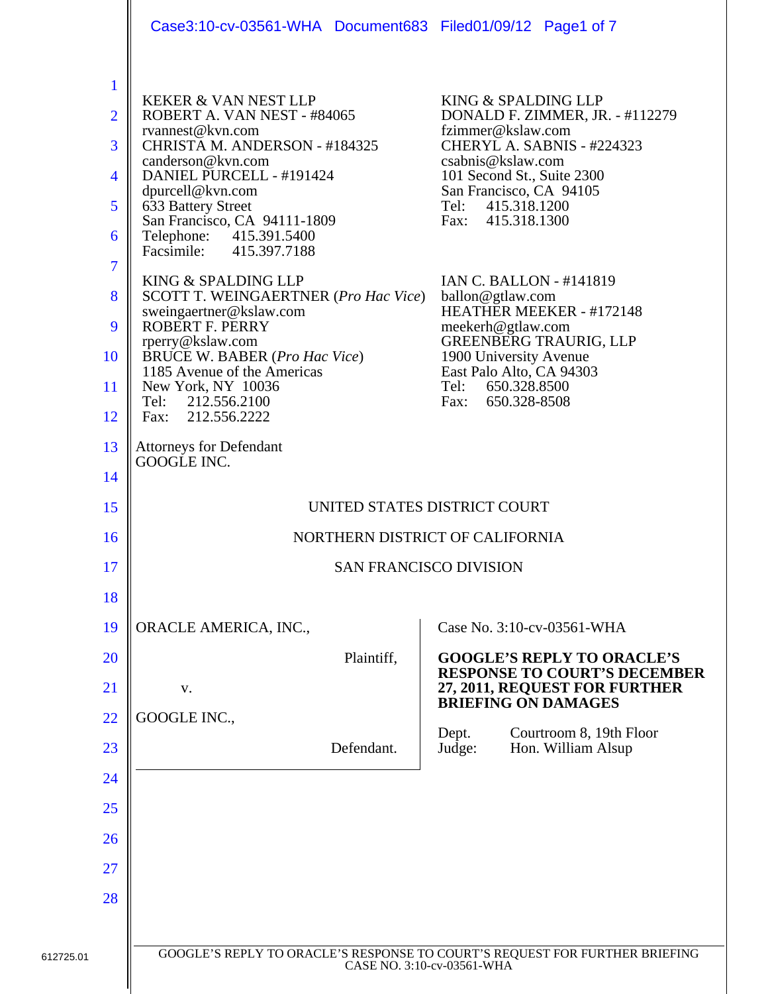|                                                                                                         | Case3:10-cv-03561-WHA Document683 Filed01/09/12 Page1 of 7                                                                                                                                                                                                                                                                                                                                                                                                                                                                                                   |                                                                                                                                                                                                                                                                                                                                                                                                                                                                                    |
|---------------------------------------------------------------------------------------------------------|--------------------------------------------------------------------------------------------------------------------------------------------------------------------------------------------------------------------------------------------------------------------------------------------------------------------------------------------------------------------------------------------------------------------------------------------------------------------------------------------------------------------------------------------------------------|------------------------------------------------------------------------------------------------------------------------------------------------------------------------------------------------------------------------------------------------------------------------------------------------------------------------------------------------------------------------------------------------------------------------------------------------------------------------------------|
| $\mathbf{1}$<br>$\overline{2}$<br>3<br>$\overline{4}$<br>5<br>6<br>$\overline{7}$<br>8<br>9<br>10<br>11 | <b>KEKER &amp; VAN NEST LLP</b><br>ROBERT A. VAN NEST - #84065<br>rvannest@kvn.com<br>CHRISTA M. ANDERSON - #184325<br>canderson@kvn.com<br>DANIEL PURCELL - #191424<br>dpurcell@kvn.com<br>633 Battery Street<br>San Francisco, CA 94111-1809<br>Telephone: 415.391.5400<br>Facsimile: 415.397.7188<br>KING & SPALDING LLP<br>SCOTT T. WEINGAERTNER (Pro Hac Vice)<br>sweingaertner@kslaw.com<br>ROBERT F. PERRY<br>rperry@kslaw.com<br>BRUCE W. BABER ( <i>Pro Hac Vice</i> )<br>1185 Avenue of the Americas<br>New York, NY 10036<br>212.556.2100<br>Tel: | KING & SPALDING LLP<br>DONALD F. ZIMMER, JR. - #112279<br>fzimmer@kslaw.com<br>CHERYL A. SABNIS - #224323<br>csabnis@kslaw.com<br>101 Second St., Suite 2300<br>San Francisco, CA 94105<br>415.318.1200<br>Tel:<br>Fax: 415.318.1300<br><b>IAN C. BALLON - #141819</b><br>ballon@gtlaw.com<br>HEATHER MEEKER - #172148<br>meekerh@gtlaw.com<br><b>GREENBERG TRAURIG, LLP</b><br>1900 University Avenue<br>East Palo Alto, CA 94303<br>650.328.8500<br>Tel:<br>650.328-8508<br>Fax: |
| 12<br>13                                                                                                | Fax: 212.556.2222<br><b>Attorneys for Defendant</b>                                                                                                                                                                                                                                                                                                                                                                                                                                                                                                          |                                                                                                                                                                                                                                                                                                                                                                                                                                                                                    |
| 14                                                                                                      | GOOGLE INC.                                                                                                                                                                                                                                                                                                                                                                                                                                                                                                                                                  |                                                                                                                                                                                                                                                                                                                                                                                                                                                                                    |
| 15                                                                                                      | UNITED STATES DISTRICT COURT                                                                                                                                                                                                                                                                                                                                                                                                                                                                                                                                 |                                                                                                                                                                                                                                                                                                                                                                                                                                                                                    |
| 16                                                                                                      | NORTHERN DISTRICT OF CALIFORNIA                                                                                                                                                                                                                                                                                                                                                                                                                                                                                                                              |                                                                                                                                                                                                                                                                                                                                                                                                                                                                                    |
| 17                                                                                                      |                                                                                                                                                                                                                                                                                                                                                                                                                                                                                                                                                              | <b>SAN FRANCISCO DIVISION</b>                                                                                                                                                                                                                                                                                                                                                                                                                                                      |
| 18                                                                                                      |                                                                                                                                                                                                                                                                                                                                                                                                                                                                                                                                                              |                                                                                                                                                                                                                                                                                                                                                                                                                                                                                    |
| 19                                                                                                      | ORACLE AMERICA, INC.,                                                                                                                                                                                                                                                                                                                                                                                                                                                                                                                                        | Case No. 3:10-cv-03561-WHA                                                                                                                                                                                                                                                                                                                                                                                                                                                         |
| <b>20</b>                                                                                               | Plaintiff,                                                                                                                                                                                                                                                                                                                                                                                                                                                                                                                                                   | <b>GOOGLE'S REPLY TO ORACLE'S</b>                                                                                                                                                                                                                                                                                                                                                                                                                                                  |
| 21                                                                                                      | V.                                                                                                                                                                                                                                                                                                                                                                                                                                                                                                                                                           | <b>RESPONSE TO COURT'S DECEMBER</b><br>27, 2011, REQUEST FOR FURTHER<br><b>BRIEFING ON DAMAGES</b>                                                                                                                                                                                                                                                                                                                                                                                 |
| 22                                                                                                      | GOOGLE INC.,                                                                                                                                                                                                                                                                                                                                                                                                                                                                                                                                                 |                                                                                                                                                                                                                                                                                                                                                                                                                                                                                    |
| 23                                                                                                      | Defendant.                                                                                                                                                                                                                                                                                                                                                                                                                                                                                                                                                   | Courtroom 8, 19th Floor<br>Dept.<br>Judge:<br>Hon. William Alsup                                                                                                                                                                                                                                                                                                                                                                                                                   |
| 24                                                                                                      |                                                                                                                                                                                                                                                                                                                                                                                                                                                                                                                                                              |                                                                                                                                                                                                                                                                                                                                                                                                                                                                                    |
| 25                                                                                                      |                                                                                                                                                                                                                                                                                                                                                                                                                                                                                                                                                              |                                                                                                                                                                                                                                                                                                                                                                                                                                                                                    |
| 26                                                                                                      |                                                                                                                                                                                                                                                                                                                                                                                                                                                                                                                                                              |                                                                                                                                                                                                                                                                                                                                                                                                                                                                                    |
| 27                                                                                                      |                                                                                                                                                                                                                                                                                                                                                                                                                                                                                                                                                              |                                                                                                                                                                                                                                                                                                                                                                                                                                                                                    |
| 28                                                                                                      |                                                                                                                                                                                                                                                                                                                                                                                                                                                                                                                                                              |                                                                                                                                                                                                                                                                                                                                                                                                                                                                                    |
|                                                                                                         |                                                                                                                                                                                                                                                                                                                                                                                                                                                                                                                                                              |                                                                                                                                                                                                                                                                                                                                                                                                                                                                                    |
|                                                                                                         | CASE NO. 3:10-cv-03561-WHA                                                                                                                                                                                                                                                                                                                                                                                                                                                                                                                                   | GOOGLE'S REPLY TO ORACLE'S RESPONSE TO COURT'S REQUEST FOR FURTHER BRIEFING                                                                                                                                                                                                                                                                                                                                                                                                        |
|                                                                                                         |                                                                                                                                                                                                                                                                                                                                                                                                                                                                                                                                                              |                                                                                                                                                                                                                                                                                                                                                                                                                                                                                    |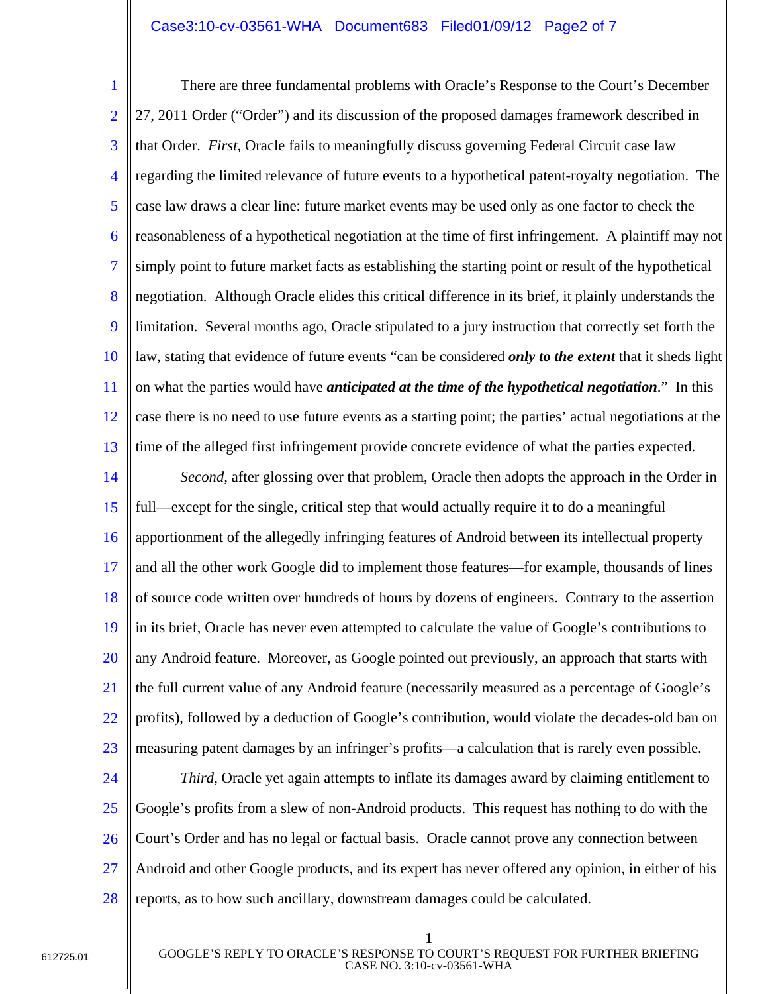## Case3:10-cv-03561-WHA Document683 Filed01/09/12 Page2 of 7

1 2 3 4 5 6 7 8 9 10 11 12 13 There are three fundamental problems with Oracle's Response to the Court's December 27, 2011 Order ("Order") and its discussion of the proposed damages framework described in that Order. *First,* Oracle fails to meaningfully discuss governing Federal Circuit case law regarding the limited relevance of future events to a hypothetical patent-royalty negotiation. The case law draws a clear line: future market events may be used only as one factor to check the reasonableness of a hypothetical negotiation at the time of first infringement. A plaintiff may not simply point to future market facts as establishing the starting point or result of the hypothetical negotiation. Although Oracle elides this critical difference in its brief, it plainly understands the limitation. Several months ago, Oracle stipulated to a jury instruction that correctly set forth the law, stating that evidence of future events "can be considered *only to the extent* that it sheds light on what the parties would have *anticipated at the time of the hypothetical negotiation*." In this case there is no need to use future events as a starting point; the parties' actual negotiations at the time of the alleged first infringement provide concrete evidence of what the parties expected.

14 15 16 17 18 19 20 21 22 23 *Second,* after glossing over that problem, Oracle then adopts the approach in the Order in full—except for the single, critical step that would actually require it to do a meaningful apportionment of the allegedly infringing features of Android between its intellectual property and all the other work Google did to implement those features—for example, thousands of lines of source code written over hundreds of hours by dozens of engineers. Contrary to the assertion in its brief, Oracle has never even attempted to calculate the value of Google's contributions to any Android feature. Moreover, as Google pointed out previously, an approach that starts with the full current value of any Android feature (necessarily measured as a percentage of Google's profits), followed by a deduction of Google's contribution, would violate the decades-old ban on measuring patent damages by an infringer's profits—a calculation that is rarely even possible.

24

25 26 27 28 *Third,* Oracle yet again attempts to inflate its damages award by claiming entitlement to Google's profits from a slew of non-Android products. This request has nothing to do with the Court's Order and has no legal or factual basis. Oracle cannot prove any connection between Android and other Google products, and its expert has never offered any opinion, in either of his reports, as to how such ancillary, downstream damages could be calculated.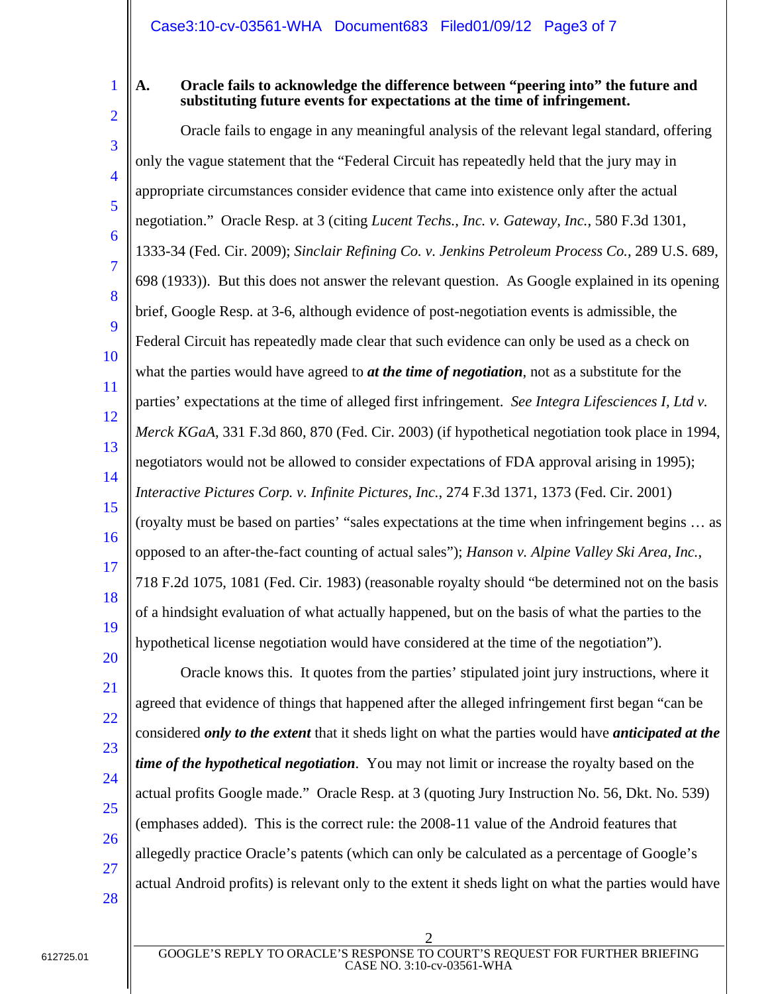1 2

#### **A. Oracle fails to acknowledge the difference between "peering into" the future and substituting future events for expectations at the time of infringement.**

3 4 5 6 7 8 9 10 11 12 13 14 15 16 17 18 19 20 Oracle fails to engage in any meaningful analysis of the relevant legal standard, offering only the vague statement that the "Federal Circuit has repeatedly held that the jury may in appropriate circumstances consider evidence that came into existence only after the actual negotiation." Oracle Resp. at 3 (citing *Lucent Techs., Inc. v. Gateway, Inc.*, 580 F.3d 1301, 1333-34 (Fed. Cir. 2009); *Sinclair Refining Co. v. Jenkins Petroleum Process Co.*, 289 U.S. 689, 698 (1933)). But this does not answer the relevant question. As Google explained in its opening brief, Google Resp. at 3-6, although evidence of post-negotiation events is admissible, the Federal Circuit has repeatedly made clear that such evidence can only be used as a check on what the parties would have agreed to *at the time of negotiation*, not as a substitute for the parties' expectations at the time of alleged first infringement. *See Integra Lifesciences I, Ltd v. Merck KGaA*, 331 F.3d 860, 870 (Fed. Cir. 2003) (if hypothetical negotiation took place in 1994, negotiators would not be allowed to consider expectations of FDA approval arising in 1995); *Interactive Pictures Corp. v. Infinite Pictures, Inc.*, 274 F.3d 1371, 1373 (Fed. Cir. 2001) (royalty must be based on parties' "sales expectations at the time when infringement begins … as opposed to an after-the-fact counting of actual sales"); *Hanson v. Alpine Valley Ski Area, Inc.*, 718 F.2d 1075, 1081 (Fed. Cir. 1983) (reasonable royalty should "be determined not on the basis of a hindsight evaluation of what actually happened, but on the basis of what the parties to the hypothetical license negotiation would have considered at the time of the negotiation").

21 22 23 24 25 26 27 Oracle knows this. It quotes from the parties' stipulated joint jury instructions, where it agreed that evidence of things that happened after the alleged infringement first began "can be considered *only to the extent* that it sheds light on what the parties would have *anticipated at the time of the hypothetical negotiation*. You may not limit or increase the royalty based on the actual profits Google made." Oracle Resp. at 3 (quoting Jury Instruction No. 56, Dkt. No. 539) (emphases added). This is the correct rule: the 2008-11 value of the Android features that allegedly practice Oracle's patents (which can only be calculated as a percentage of Google's actual Android profits) is relevant only to the extent it sheds light on what the parties would have

28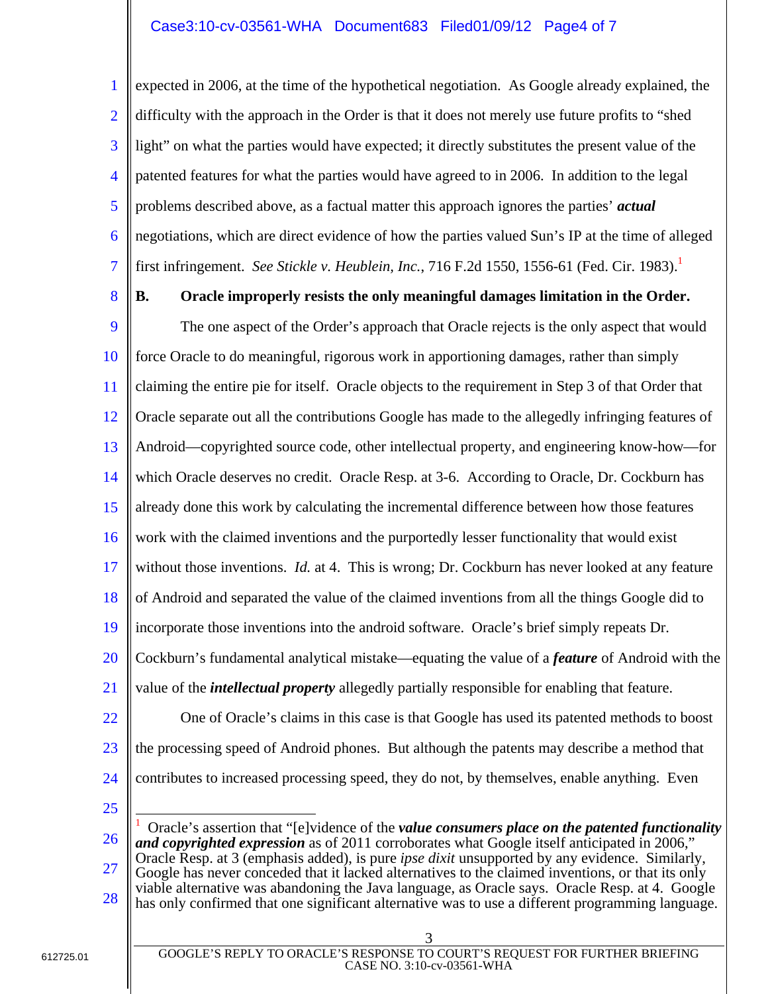# Case3:10-cv-03561-WHA Document683 Filed01/09/12 Page4 of 7

1 2 3 4 5 6 7 expected in 2006, at the time of the hypothetical negotiation. As Google already explained, the difficulty with the approach in the Order is that it does not merely use future profits to "shed light" on what the parties would have expected; it directly substitutes the present value of the patented features for what the parties would have agreed to in 2006. In addition to the legal problems described above, as a factual matter this approach ignores the parties' *actual* negotiations, which are direct evidence of how the parties valued Sun's IP at the time of alleged first infringement. *See Stickle v. Heublein, Inc.*, 716 F.2d 1550, 1556-61 (Fed. Cir. 1983).<sup>1</sup>

8

## **B. Oracle improperly resists the only meaningful damages limitation in the Order.**

9 10 11 12 13 14 15 16 17 18 19 20 21 22 The one aspect of the Order's approach that Oracle rejects is the only aspect that would force Oracle to do meaningful, rigorous work in apportioning damages, rather than simply claiming the entire pie for itself. Oracle objects to the requirement in Step 3 of that Order that Oracle separate out all the contributions Google has made to the allegedly infringing features of Android—copyrighted source code, other intellectual property, and engineering know-how—for which Oracle deserves no credit. Oracle Resp. at 3-6. According to Oracle, Dr. Cockburn has already done this work by calculating the incremental difference between how those features work with the claimed inventions and the purportedly lesser functionality that would exist without those inventions. *Id.* at 4. This is wrong; Dr. Cockburn has never looked at any feature of Android and separated the value of the claimed inventions from all the things Google did to incorporate those inventions into the android software. Oracle's brief simply repeats Dr. Cockburn's fundamental analytical mistake—equating the value of a *feature* of Android with the value of the *intellectual property* allegedly partially responsible for enabling that feature. One of Oracle's claims in this case is that Google has used its patented methods to boost

- 
- 23 24 the processing speed of Android phones. But although the patents may describe a method that contributes to increased processing speed, they do not, by themselves, enable anything. Even
- 25

 $\overline{a}$ 

26 27 28 1 Oracle's assertion that "[e]vidence of the *value consumers place on the patented functionality*  and copyrighted expression as of 2011 corroborates what Google itself anticipated in 2006," Oracle Resp. at 3 (emphasis added), is pure *ipse dixit* unsupported by any evidence. Similarly, Google has never conceded that it lacked alternatives to the claimed inventions, or that its only viable alternative was abandoning the Java language, as Oracle says. Oracle Resp. at 4. Google has only confirmed that one significant alternative was to use a different programming language.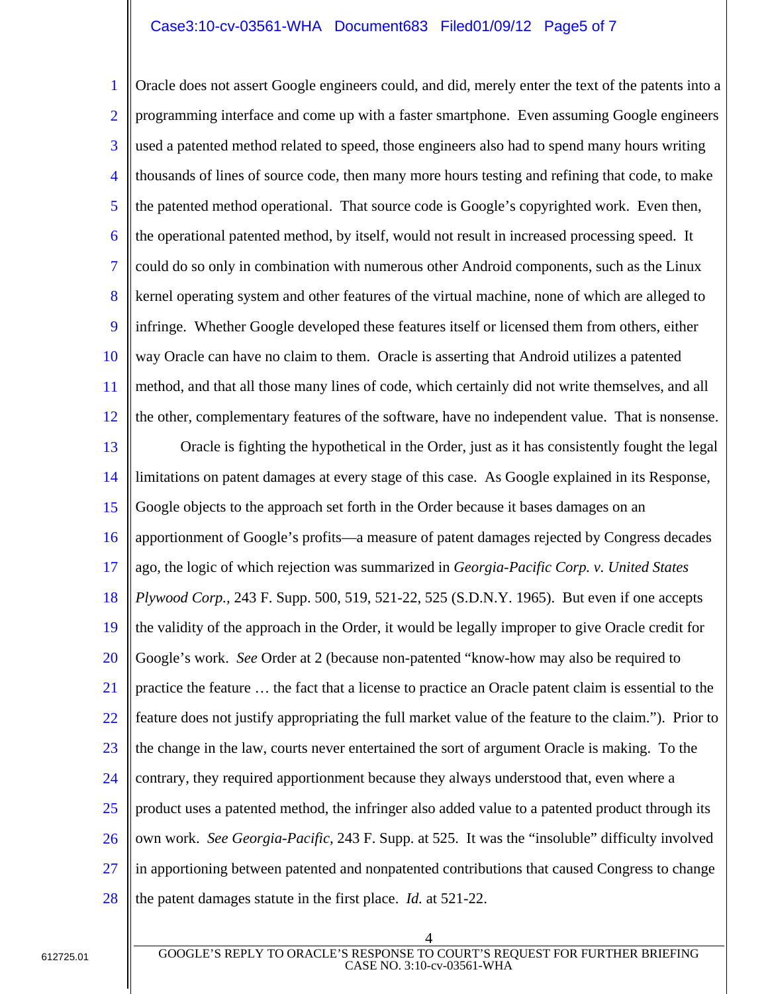## Case3:10-cv-03561-WHA Document683 Filed01/09/12 Page5 of 7

1 2 3 4 5 6 7 8 9 10 11 12 Oracle does not assert Google engineers could, and did, merely enter the text of the patents into a programming interface and come up with a faster smartphone. Even assuming Google engineers used a patented method related to speed, those engineers also had to spend many hours writing thousands of lines of source code, then many more hours testing and refining that code, to make the patented method operational. That source code is Google's copyrighted work. Even then, the operational patented method, by itself, would not result in increased processing speed. It could do so only in combination with numerous other Android components, such as the Linux kernel operating system and other features of the virtual machine, none of which are alleged to infringe. Whether Google developed these features itself or licensed them from others, either way Oracle can have no claim to them. Oracle is asserting that Android utilizes a patented method, and that all those many lines of code, which certainly did not write themselves, and all the other, complementary features of the software, have no independent value. That is nonsense.

13 14 15 16 17 18 19 20 21 22 23 24 25 26 27 28 Oracle is fighting the hypothetical in the Order, just as it has consistently fought the legal limitations on patent damages at every stage of this case. As Google explained in its Response, Google objects to the approach set forth in the Order because it bases damages on an apportionment of Google's profits—a measure of patent damages rejected by Congress decades ago, the logic of which rejection was summarized in *Georgia-Pacific Corp. v. United States Plywood Corp.,* 243 F. Supp. 500, 519, 521-22, 525 (S.D.N.Y. 1965). But even if one accepts the validity of the approach in the Order, it would be legally improper to give Oracle credit for Google's work. *See* Order at 2 (because non-patented "know-how may also be required to practice the feature … the fact that a license to practice an Oracle patent claim is essential to the feature does not justify appropriating the full market value of the feature to the claim."). Prior to the change in the law, courts never entertained the sort of argument Oracle is making. To the contrary, they required apportionment because they always understood that, even where a product uses a patented method, the infringer also added value to a patented product through its own work. *See Georgia-Pacific,* 243 F. Supp. at 525. It was the "insoluble" difficulty involved in apportioning between patented and nonpatented contributions that caused Congress to change the patent damages statute in the first place. *Id.* at 521-22.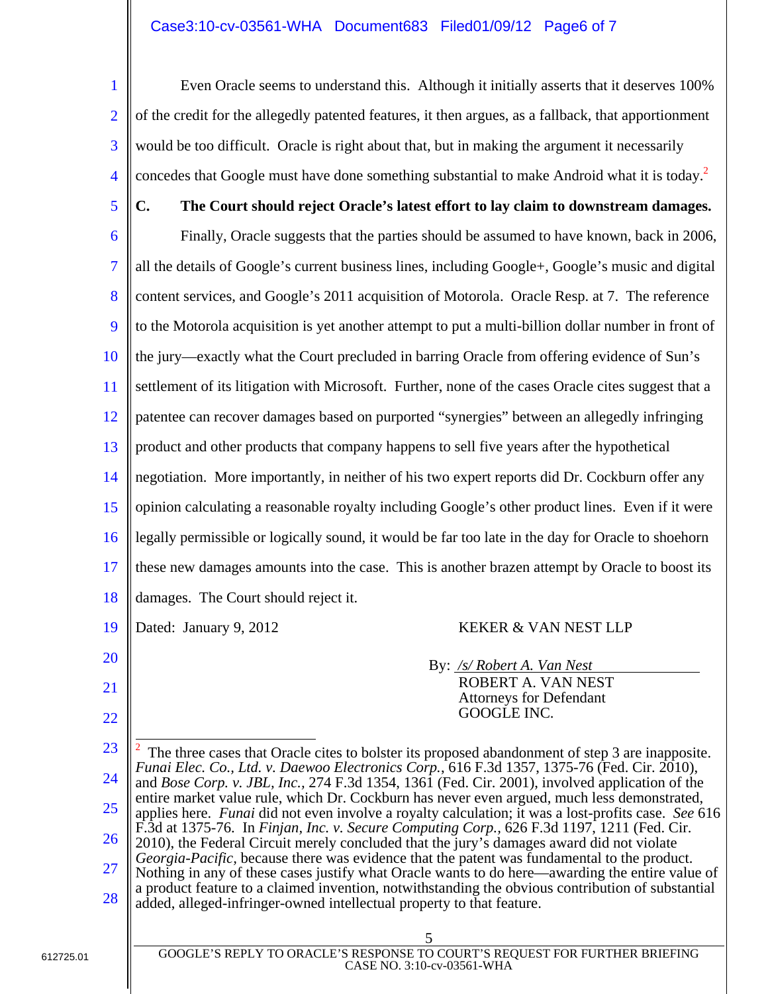# Case3:10-cv-03561-WHA Document683 Filed01/09/12 Page6 of 7

1 2 3 4 Even Oracle seems to understand this. Although it initially asserts that it deserves 100% of the credit for the allegedly patented features, it then argues, as a fallback, that apportionment would be too difficult. Oracle is right about that, but in making the argument it necessarily concedes that Google must have done something substantial to make Android what it is today.<sup>2</sup>

- 5 6 7 8 9 10 11 12 13 14 15 16 17 **C. The Court should reject Oracle's latest effort to lay claim to downstream damages.**  Finally, Oracle suggests that the parties should be assumed to have known, back in 2006, all the details of Google's current business lines, including Google+, Google's music and digital content services, and Google's 2011 acquisition of Motorola. Oracle Resp. at 7. The reference to the Motorola acquisition is yet another attempt to put a multi-billion dollar number in front of the jury—exactly what the Court precluded in barring Oracle from offering evidence of Sun's settlement of its litigation with Microsoft. Further, none of the cases Oracle cites suggest that a patentee can recover damages based on purported "synergies" between an allegedly infringing product and other products that company happens to sell five years after the hypothetical negotiation. More importantly, in neither of his two expert reports did Dr. Cockburn offer any opinion calculating a reasonable royalty including Google's other product lines. Even if it were legally permissible or logically sound, it would be far too late in the day for Oracle to shoehorn these new damages amounts into the case. This is another brazen attempt by Oracle to boost its
	- 18 damages. The Court should reject it.
	- 19

20

21

22

Dated: January 9, 2012 KEKER & VAN NEST LLP

By: */s/ Robert A. Van Nest* ROBERT A. VAN NEST Attorneys for Defendant GOOGLE INC.

| 23              | $\vert^2$ The three cases that Oracle cites to bolster its proposed abandonment of step 3 are inapposite.                                                                                                                                                                                                                                                                                                                                                                                                                                                                                                                                                                                                                                                                                                  |  |  |
|-----------------|------------------------------------------------------------------------------------------------------------------------------------------------------------------------------------------------------------------------------------------------------------------------------------------------------------------------------------------------------------------------------------------------------------------------------------------------------------------------------------------------------------------------------------------------------------------------------------------------------------------------------------------------------------------------------------------------------------------------------------------------------------------------------------------------------------|--|--|
| 24              | Funai Elec. Co., Ltd. v. Daewoo Electronics Corp., 616 F.3d 1357, 1375-76 (Fed. Cir. 2010),<br>and <i>Bose Corp.</i> v. JBL, Inc., 274 F.3d 1354, 1361 (Fed. Cir. 2001), involved application of the<br>entire market value rule, which Dr. Cockburn has never even argued, much less demonstrated,<br>   applies here. Funai did not even involve a royalty calculation; it was a lost-profits case. See 616<br>F.3d at 1375-76. In Finjan, Inc. v. Secure Computing Corp., 626 F.3d 1197, 1211 (Fed. Cir.<br>2010), the Federal Circuit merely concluded that the jury's damages award did not violate<br>Georgia-Pacific, because there was evidence that the patent was fundamental to the product.<br>Nothing in any of these cases justify what Oracle wants to do here—awarding the entire value of |  |  |
| 25              |                                                                                                                                                                                                                                                                                                                                                                                                                                                                                                                                                                                                                                                                                                                                                                                                            |  |  |
| 26              |                                                                                                                                                                                                                                                                                                                                                                                                                                                                                                                                                                                                                                                                                                                                                                                                            |  |  |
| $\overline{27}$ |                                                                                                                                                                                                                                                                                                                                                                                                                                                                                                                                                                                                                                                                                                                                                                                                            |  |  |
| 28              | a product feature to a claimed invention, notwithstanding the obvious contribution of substantial<br>added, alleged-infringer-owned intellectual property to that feature.                                                                                                                                                                                                                                                                                                                                                                                                                                                                                                                                                                                                                                 |  |  |
|                 |                                                                                                                                                                                                                                                                                                                                                                                                                                                                                                                                                                                                                                                                                                                                                                                                            |  |  |

GOOGLE'S REPLY TO ORACLE'S RESPONSE TO COURT'S REQUEST FOR FURTHER BRIEFING CASE NO. 3:10-cv-03561-WHA